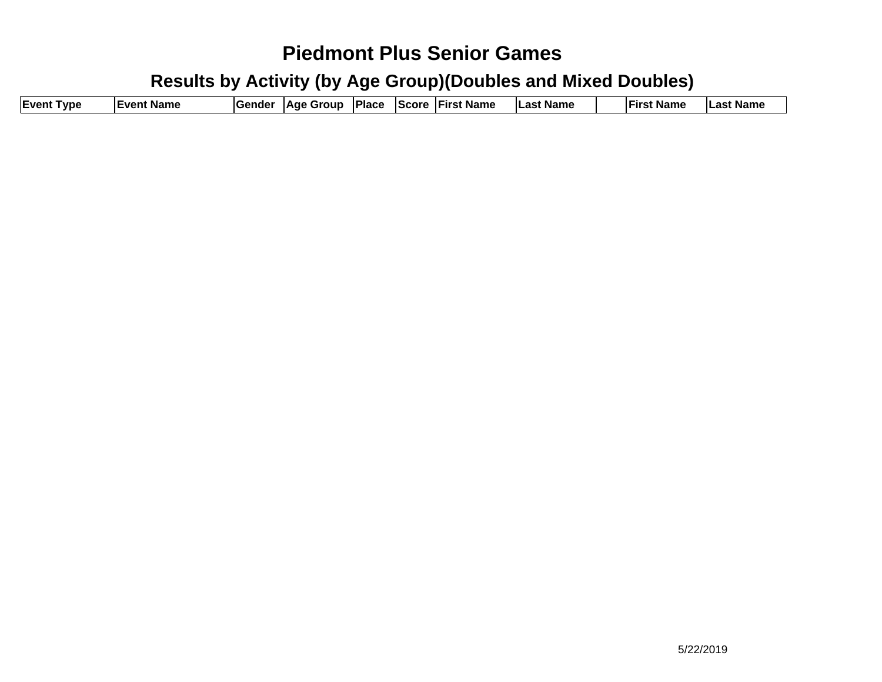| <b>Event Type</b> | <b>IEvent Name</b> | <b>IGender</b> |  |  |  | *  Age Group  Place  Score  First Name | Last Name |  | <b>First Name</b> | Last Name |
|-------------------|--------------------|----------------|--|--|--|----------------------------------------|-----------|--|-------------------|-----------|
|-------------------|--------------------|----------------|--|--|--|----------------------------------------|-----------|--|-------------------|-----------|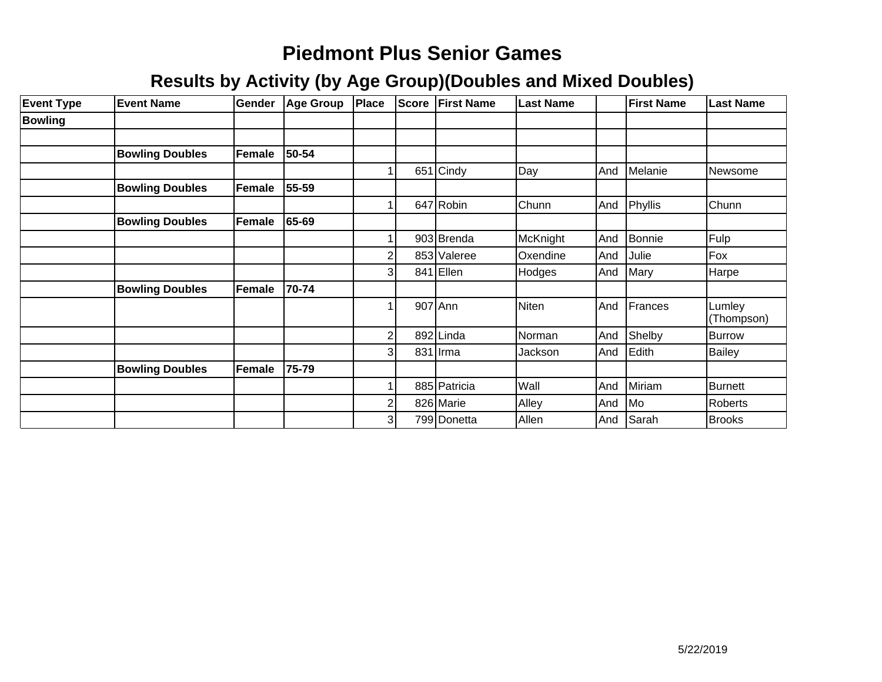| <b>Event Type</b> | <b>Event Name</b>      | Gender | <b>Age Group</b> | Place                   | <b>Score</b> | <b>First Name</b> | <b>Last Name</b> |     | <b>First Name</b> | <b>Last Name</b>     |
|-------------------|------------------------|--------|------------------|-------------------------|--------------|-------------------|------------------|-----|-------------------|----------------------|
| <b>Bowling</b>    |                        |        |                  |                         |              |                   |                  |     |                   |                      |
|                   |                        |        |                  |                         |              |                   |                  |     |                   |                      |
|                   | <b>Bowling Doubles</b> | Female | 50-54            |                         |              |                   |                  |     |                   |                      |
|                   |                        |        |                  |                         |              | $651$ Cindy       | Day              | And | Melanie           | Newsome              |
|                   | <b>Bowling Doubles</b> | Female | 55-59            |                         |              |                   |                  |     |                   |                      |
|                   |                        |        |                  |                         |              | 647 Robin         | Chunn            | And | Phyllis           | Chunn                |
|                   | <b>Bowling Doubles</b> | Female | 65-69            |                         |              |                   |                  |     |                   |                      |
|                   |                        |        |                  |                         |              | 903 Brenda        | McKnight         | And | Bonnie            | Fulp                 |
|                   |                        |        |                  | $\overline{c}$          |              | 853 Valeree       | Oxendine         | And | Julie             | Fox                  |
|                   |                        |        |                  | $\overline{3}$          |              | 841 Ellen         | Hodges           | And | Mary              | Harpe                |
|                   | <b>Bowling Doubles</b> | Female | 70-74            |                         |              |                   |                  |     |                   |                      |
|                   |                        |        |                  |                         |              | 907 Ann           | Niten            | And | Frances           | Lumley<br>(Thompson) |
|                   |                        |        |                  | $\overline{\mathbf{c}}$ |              | 892 Linda         | Norman           | And | Shelby            | Burrow               |
|                   |                        |        |                  | 3                       |              | 831 Irma          | Jackson          | And | Edith             | <b>Bailey</b>        |
|                   | <b>Bowling Doubles</b> | Female | 75-79            |                         |              |                   |                  |     |                   |                      |
|                   |                        |        |                  |                         |              | 885 Patricia      | Wall             | And | Miriam            | Burnett              |
|                   |                        |        |                  | $\overline{2}$          |              | 826 Marie         | Alley            | And | <b>Mo</b>         | Roberts              |
|                   |                        |        |                  | $\overline{3}$          |              | 799 Donetta       | Allen            | And | <b>Sarah</b>      | <b>Brooks</b>        |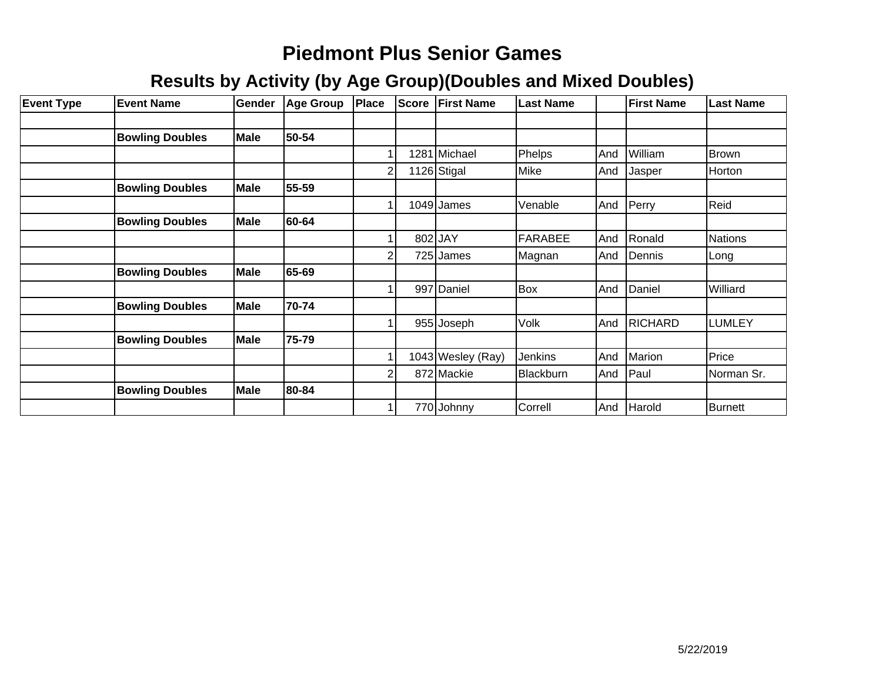| <b>Event Type</b> | <b>Event Name</b>      | Gender      | <b>Age Group</b> | Place          | <b>Score</b> | <b>First Name</b> | <b>Last Name</b> |     | <b>First Name</b> | <b>Last Name</b> |
|-------------------|------------------------|-------------|------------------|----------------|--------------|-------------------|------------------|-----|-------------------|------------------|
|                   |                        |             |                  |                |              |                   |                  |     |                   |                  |
|                   | <b>Bowling Doubles</b> | <b>Male</b> | 50-54            |                |              |                   |                  |     |                   |                  |
|                   |                        |             |                  |                |              | 1281 Michael      | Phelps           | And | William           | Brown            |
|                   |                        |             |                  | $\overline{2}$ |              | 1126 Stigal       | Mike             | And | Jasper            | Horton           |
|                   | <b>Bowling Doubles</b> | <b>Male</b> | 55-59            |                |              |                   |                  |     |                   |                  |
|                   |                        |             |                  |                |              | $1049$ James      | Venable          | And | Perry             | Reid             |
|                   | <b>Bowling Doubles</b> | <b>Male</b> | 60-64            |                |              |                   |                  |     |                   |                  |
|                   |                        |             |                  |                |              | 802 JAY           | <b>FARABEE</b>   | And | Ronald            | Nations          |
|                   |                        |             |                  | 2              |              | 725 James         | Magnan           | And | Dennis            | Long             |
|                   | <b>Bowling Doubles</b> | <b>Male</b> | 65-69            |                |              |                   |                  |     |                   |                  |
|                   |                        |             |                  |                |              | 997 Daniel        | Box              | And | Daniel            | <b>Williard</b>  |
|                   | <b>Bowling Doubles</b> | <b>Male</b> | 70-74            |                |              |                   |                  |     |                   |                  |
|                   |                        |             |                  |                |              | 955 Joseph        | Volk             | And | <b>RICHARD</b>    | LUMLEY           |
|                   | <b>Bowling Doubles</b> | <b>Male</b> | 75-79            |                |              |                   |                  |     |                   |                  |
|                   |                        |             |                  |                |              | 1043 Wesley (Ray) | Jenkins          | And | Marion            | Price            |
|                   |                        |             |                  | 2              |              | 872 Mackie        | Blackburn        | And | Paul              | Norman Sr.       |
|                   | <b>Bowling Doubles</b> | <b>Male</b> | 80-84            |                |              |                   |                  |     |                   |                  |
|                   |                        |             |                  |                |              | 770 Johnny        | Correll          | And | Harold            | Burnett          |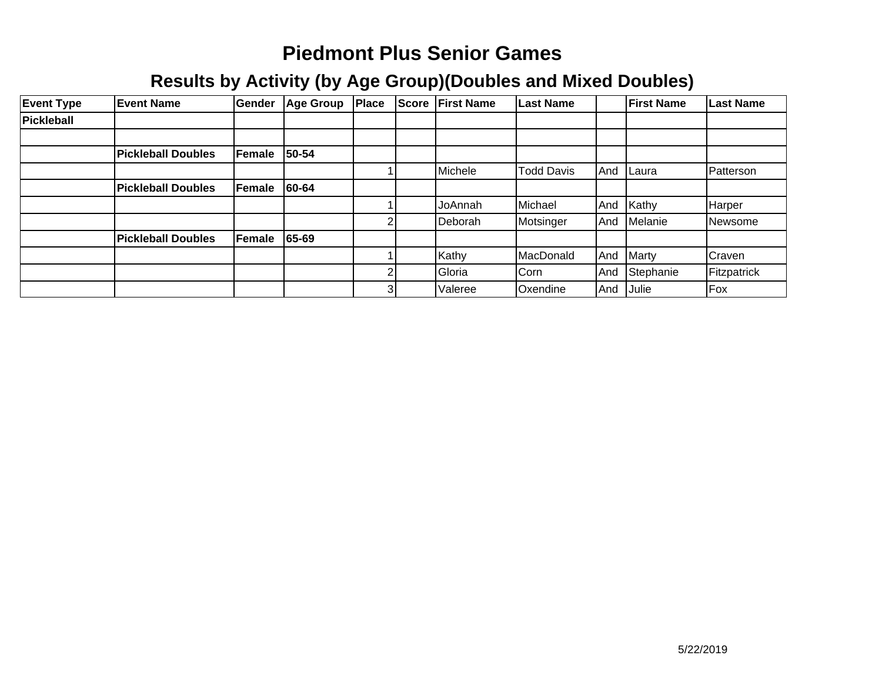| <b>Event Type</b> | <b>Event Name</b>         | Gender | <b>Age Group</b> | Place | <b>Score</b> | <b>IFirst Name</b> | <b>Last Name</b>  |     | <b>IFirst Name</b> | Last Name     |
|-------------------|---------------------------|--------|------------------|-------|--------------|--------------------|-------------------|-----|--------------------|---------------|
| Pickleball        |                           |        |                  |       |              |                    |                   |     |                    |               |
|                   |                           |        |                  |       |              |                    |                   |     |                    |               |
|                   | <b>Pickleball Doubles</b> | Female | 50-54            |       |              |                    |                   |     |                    |               |
|                   |                           |        |                  |       |              | Michele            | <b>Todd Davis</b> | And | Laura              | Patterson     |
|                   | <b>Pickleball Doubles</b> | Female | 60-64            |       |              |                    |                   |     |                    |               |
|                   |                           |        |                  |       |              | JoAnnah            | Michael           | And | Kathy              | Harper        |
|                   |                           |        |                  | ◠     |              | Deborah            | Motsinger         | And | Melanie            | Newsome       |
|                   | <b>Pickleball Doubles</b> | Female | 65-69            |       |              |                    |                   |     |                    |               |
|                   |                           |        |                  |       |              | Kathy              | MacDonald         | And | Marty              | <b>Craven</b> |
|                   |                           |        |                  | 2     |              | Gloria             | Corn              | And | Stephanie          | Fitzpatrick   |
|                   |                           |        |                  | 3     |              | Valeree            | <b>Oxendine</b>   | And | Julie              | Fox           |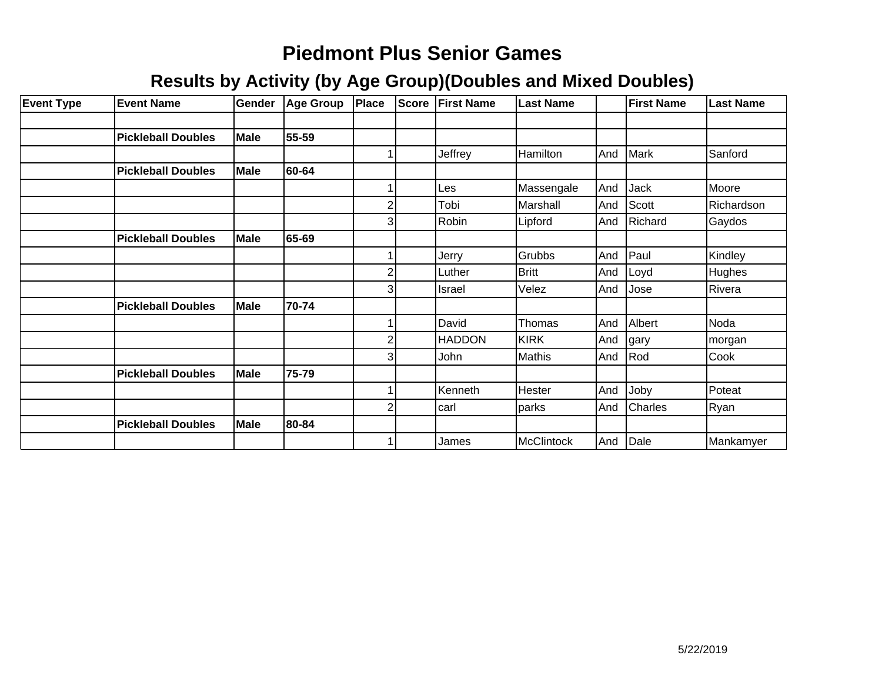| <b>Event Type</b> | <b>Event Name</b>         | <b>Gender</b> | Age Group | Place                   | <b>Score</b> | <b>First Name</b> | <b>Last Name</b> |     | <b>First Name</b> | <b>Last Name</b> |
|-------------------|---------------------------|---------------|-----------|-------------------------|--------------|-------------------|------------------|-----|-------------------|------------------|
|                   |                           |               |           |                         |              |                   |                  |     |                   |                  |
|                   | <b>Pickleball Doubles</b> | <b>Male</b>   | 55-59     |                         |              |                   |                  |     |                   |                  |
|                   |                           |               |           |                         |              | Jeffrey           | Hamilton         | And | Mark              | Sanford          |
|                   | <b>Pickleball Doubles</b> | <b>Male</b>   | 60-64     |                         |              |                   |                  |     |                   |                  |
|                   |                           |               |           |                         |              | Les               | Massengale       | And | <b>Jack</b>       | Moore            |
|                   |                           |               |           | $\overline{2}$          |              | Tobi              | Marshall         | And | Scott             | Richardson       |
|                   |                           |               |           | $\overline{3}$          |              | Robin             | Lipford          | And | Richard           | Gaydos           |
|                   | <b>Pickleball Doubles</b> | <b>Male</b>   | 65-69     |                         |              |                   |                  |     |                   |                  |
|                   |                           |               |           |                         |              | Jerry             | Grubbs           | And | Paul              | Kindley          |
|                   |                           |               |           | $\overline{2}$          |              | Luther            | <b>Britt</b>     | And | Loyd              | Hughes           |
|                   |                           |               |           | 3                       |              | <b>Israel</b>     | Velez            | And | Jose              | Rivera           |
|                   | <b>Pickleball Doubles</b> | <b>Male</b>   | 70-74     |                         |              |                   |                  |     |                   |                  |
|                   |                           |               |           |                         |              | David             | Thomas           | And | Albert            | Noda             |
|                   |                           |               |           | $\overline{\mathbf{c}}$ |              | <b>HADDON</b>     | <b>KIRK</b>      | And | gary              | morgan           |
|                   |                           |               |           | 3                       |              | John              | Mathis           | And | Rod               | Cook             |
|                   | <b>Pickleball Doubles</b> | <b>Male</b>   | 75-79     |                         |              |                   |                  |     |                   |                  |
|                   |                           |               |           |                         |              | Kenneth           | Hester           | And | Joby              | Poteat           |
|                   |                           |               |           | $\overline{c}$          |              | carl              | parks            | And | Charles           | Ryan             |
|                   | <b>Pickleball Doubles</b> | <b>Male</b>   | 80-84     |                         |              |                   |                  |     |                   |                  |
|                   |                           |               |           |                         |              | James             | McClintock       |     | And Dale          | Mankamyer        |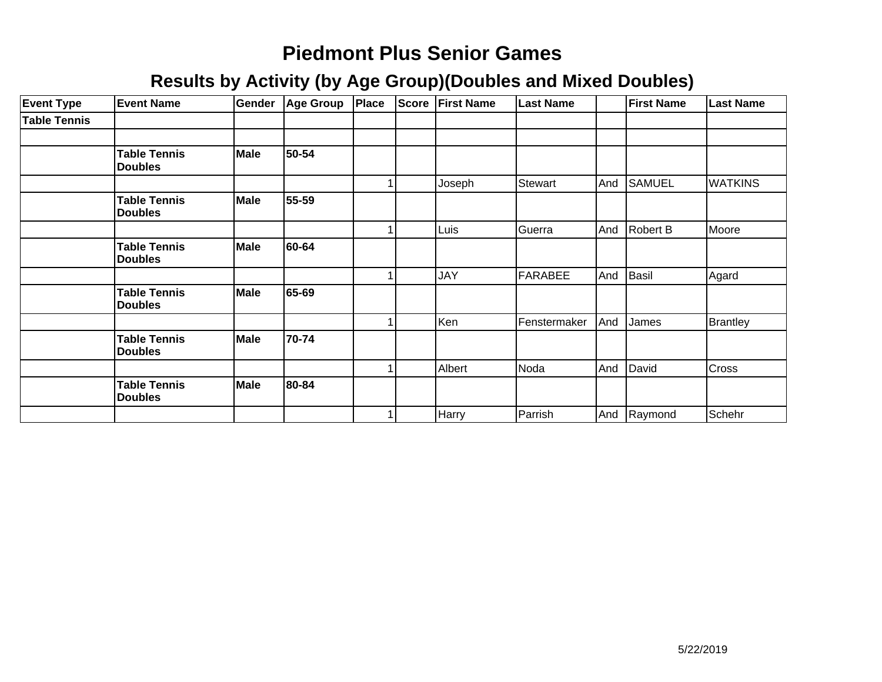| <b>Event Type</b>   | <b>Event Name</b>                     | Gender | Age Group | Place | <b>Score</b> | <b>First Name</b> | <b>Last Name</b> |     | <b>First Name</b> | <b>Last Name</b> |
|---------------------|---------------------------------------|--------|-----------|-------|--------------|-------------------|------------------|-----|-------------------|------------------|
| <b>Table Tennis</b> |                                       |        |           |       |              |                   |                  |     |                   |                  |
|                     |                                       |        |           |       |              |                   |                  |     |                   |                  |
|                     | <b>Table Tennis</b><br><b>Doubles</b> | Male   | 50-54     |       |              |                   |                  |     |                   |                  |
|                     |                                       |        |           |       |              | Joseph            | Stewart          | And | <b>SAMUEL</b>     | <b>WATKINS</b>   |
|                     | <b>Table Tennis</b><br><b>Doubles</b> | Male   | 55-59     |       |              |                   |                  |     |                   |                  |
|                     |                                       |        |           |       |              | Luis              | Guerra           | And | Robert B          | Moore            |
|                     | <b>Table Tennis</b><br><b>Doubles</b> | Male   | 60-64     |       |              |                   |                  |     |                   |                  |
|                     |                                       |        |           |       |              | <b>JAY</b>        | FARABEE          | And | Basil             | Agard            |
|                     | <b>Table Tennis</b><br><b>Doubles</b> | Male   | 65-69     |       |              |                   |                  |     |                   |                  |
|                     |                                       |        |           |       |              | Ken               | Fenstermaker     | And | James             | <b>Brantley</b>  |
|                     | <b>Table Tennis</b><br><b>Doubles</b> | Male   | 70-74     |       |              |                   |                  |     |                   |                  |
|                     |                                       |        |           |       |              | Albert            | Noda             | And | David             | <b>Cross</b>     |
|                     | <b>Table Tennis</b><br><b>Doubles</b> | Male   | 80-84     |       |              |                   |                  |     |                   |                  |
|                     |                                       |        |           |       |              | Harry             | Parrish          | And | Raymond           | Schehr           |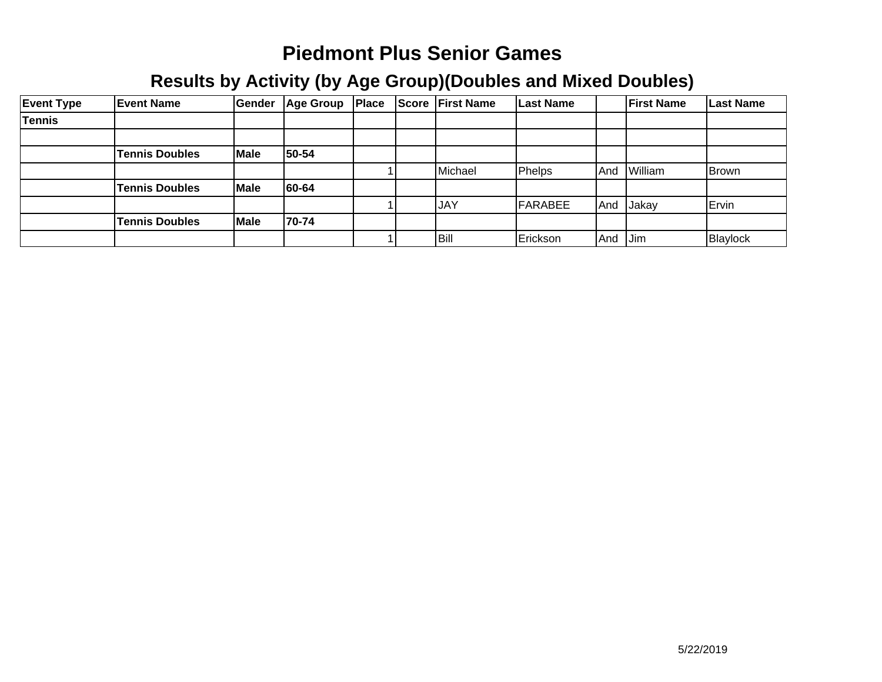| <b>Event Type</b> | <b>Event Name</b>     | Gender | <b>Age Group</b> | Place | <b>Score</b> | <b>First Name</b> | Last Name |      | <b>First Name</b> | <b>Last Name</b> |
|-------------------|-----------------------|--------|------------------|-------|--------------|-------------------|-----------|------|-------------------|------------------|
| Tennis            |                       |        |                  |       |              |                   |           |      |                   |                  |
|                   |                       |        |                  |       |              |                   |           |      |                   |                  |
|                   | <b>Tennis Doubles</b> | Male   | 50-54            |       |              |                   |           |      |                   |                  |
|                   |                       |        |                  |       |              | Michael           | Phelps    | .And | William           | <b>Brown</b>     |
|                   | <b>Tennis Doubles</b> | Male   | 60-64            |       |              |                   |           |      |                   |                  |
|                   |                       |        |                  |       |              | <b>JAY</b>        | FARABEE   | And  | Jakay             | Ervin            |
|                   | <b>Tennis Doubles</b> | Male   | 70-74            |       |              |                   |           |      |                   |                  |
|                   |                       |        |                  |       |              | Bill              | Erickson  | And  | <b>Jim</b>        | Blaylock         |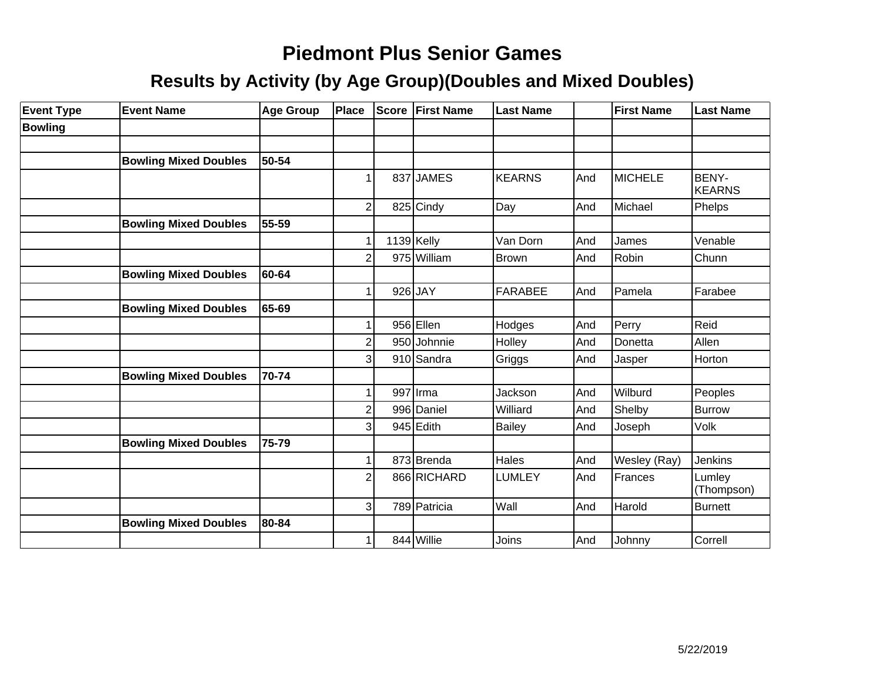| <b>Event Type</b> | <b>Event Name</b>            | <b>Age Group</b> | Place          | Score | <b>First Name</b> | <b>Last Name</b> |     | First Name   | <b>Last Name</b>       |
|-------------------|------------------------------|------------------|----------------|-------|-------------------|------------------|-----|--------------|------------------------|
| <b>Bowling</b>    |                              |                  |                |       |                   |                  |     |              |                        |
|                   |                              |                  |                |       |                   |                  |     |              |                        |
|                   | <b>Bowling Mixed Doubles</b> | 50-54            |                |       |                   |                  |     |              |                        |
|                   |                              |                  | 1              |       | 837 JAMES         | <b>KEARNS</b>    | And | MICHELE      | BENY-<br><b>KEARNS</b> |
|                   |                              |                  | $\overline{2}$ |       | 825 Cindy         | Day              | And | Michael      | Phelps                 |
|                   | <b>Bowling Mixed Doubles</b> | 55-59            |                |       |                   |                  |     |              |                        |
|                   |                              |                  |                |       | $1139$ Kelly      | Van Dorn         | And | James        | Venable                |
|                   |                              |                  | 2              |       | 975 William       | Brown            | And | Robin        | Chunn                  |
|                   | <b>Bowling Mixed Doubles</b> | 60-64            |                |       |                   |                  |     |              |                        |
|                   |                              |                  | 1              |       | 926 JAY           | <b>FARABEE</b>   | And | Pamela       | Farabee                |
|                   | <b>Bowling Mixed Doubles</b> | 65-69            |                |       |                   |                  |     |              |                        |
|                   |                              |                  |                |       | 956 Ellen         | Hodges           | And | Perry        | Reid                   |
|                   |                              |                  | $\overline{2}$ |       | 950 Johnnie       | Holley           | And | Donetta      | Allen                  |
|                   |                              |                  | 3              |       | 910 Sandra        | Griggs           | And | Jasper       | Horton                 |
|                   | <b>Bowling Mixed Doubles</b> | 70-74            |                |       |                   |                  |     |              |                        |
|                   |                              |                  | 1              |       | 997 Irma          | Jackson          | And | Wilburd      | Peoples                |
|                   |                              |                  | $\overline{2}$ |       | 996 Daniel        | Williard         | And | Shelby       | <b>Burrow</b>          |
|                   |                              |                  | 3              |       | 945 Edith         | Bailey           | And | Joseph       | Volk                   |
|                   | <b>Bowling Mixed Doubles</b> | 75-79            |                |       |                   |                  |     |              |                        |
|                   |                              |                  |                |       | 873 Brenda        | <b>Hales</b>     | And | Wesley (Ray) | Jenkins                |
|                   |                              |                  | $\overline{2}$ |       | 866 RICHARD       | <b>LUMLEY</b>    | And | Frances      | Lumley<br>(Thompson)   |
|                   |                              |                  | $\overline{3}$ |       | 789 Patricia      | Wall             | And | Harold       | <b>Burnett</b>         |
|                   | <b>Bowling Mixed Doubles</b> | 80-84            |                |       |                   |                  |     |              |                        |
|                   |                              |                  |                |       | 844 Willie        | Joins            | And | Johnny       | Correll                |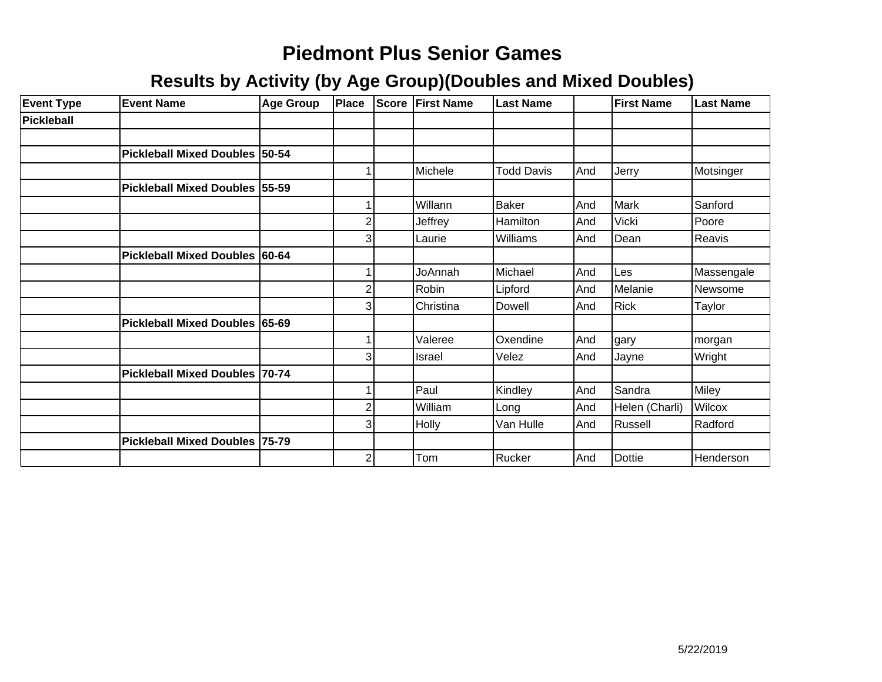| <b>Event Type</b> | <b>Event Name</b>              | <b>Age Group</b> | Place          | Score | <b>First Name</b> | <b>Last Name</b>  |     | <b>First Name</b> | <b>Last Name</b> |
|-------------------|--------------------------------|------------------|----------------|-------|-------------------|-------------------|-----|-------------------|------------------|
| Pickleball        |                                |                  |                |       |                   |                   |     |                   |                  |
|                   |                                |                  |                |       |                   |                   |     |                   |                  |
|                   | Pickleball Mixed Doubles 50-54 |                  |                |       |                   |                   |     |                   |                  |
|                   |                                |                  |                |       | Michele           | <b>Todd Davis</b> | And | Jerry             | Motsinger        |
|                   | Pickleball Mixed Doubles 55-59 |                  |                |       |                   |                   |     |                   |                  |
|                   |                                |                  |                |       | Willann           | Baker             | And | Mark              | Sanford          |
|                   |                                |                  | 2              |       | Jeffrey           | Hamilton          | And | Vicki             | Poore            |
|                   |                                |                  | 3              |       | Laurie            | Williams          | And | Dean              | Reavis           |
|                   | Pickleball Mixed Doubles 60-64 |                  |                |       |                   |                   |     |                   |                  |
|                   |                                |                  |                |       | JoAnnah           | Michael           | And | Les               | Massengale       |
|                   |                                |                  | 2              |       | Robin             | Lipford           | And | Melanie           | Newsome          |
|                   |                                |                  | 3              |       | Christina         | <b>Dowell</b>     | And | <b>Rick</b>       | Taylor           |
|                   | Pickleball Mixed Doubles 65-69 |                  |                |       |                   |                   |     |                   |                  |
|                   |                                |                  |                |       | Valeree           | Oxendine          | And | gary              | morgan           |
|                   |                                |                  | Э              |       | Israel            | Velez             | And | Jayne             | Wright           |
|                   | Pickleball Mixed Doubles 70-74 |                  |                |       |                   |                   |     |                   |                  |
|                   |                                |                  |                |       | Paul              | Kindley           | And | Sandra            | Miley            |
|                   |                                |                  | 2              |       | William           | Long              | And | Helen (Charli)    | Wilcox           |
|                   |                                |                  | 3              |       | Holly             | Van Hulle         | And | Russell           | Radford          |
|                   | Pickleball Mixed Doubles 75-79 |                  |                |       |                   |                   |     |                   |                  |
|                   |                                |                  | $\overline{c}$ |       | Tom               | Rucker            | And | <b>Dottie</b>     | Henderson        |